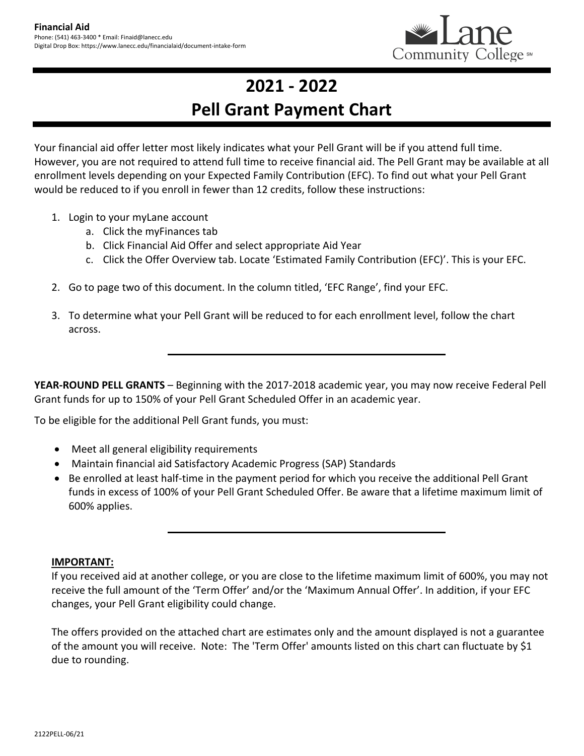

## **2021 ‐ 2022 Pell Grant Payment Chart**

Your financial aid offer letter most likely indicates what your Pell Grant will be if you attend full time. However, you are not required to attend full time to receive financial aid. The Pell Grant may be available at all enrollment levels depending on your Expected Family Contribution (EFC). To find out what your Pell Grant would be reduced to if you enroll in fewer than 12 credits, follow these instructions:

- 1. Login to your myLane account
	- a. Click the myFinances tab
	- b. Click Financial Aid Offer and select appropriate Aid Year
	- c. Click the Offer Overview tab. Locate 'Estimated Family Contribution (EFC)'. This is your EFC.
- 2. Go to page two of this document. In the column titled, 'EFC Range', find your EFC.
- 3. To determine what your Pell Grant will be reduced to for each enrollment level, follow the chart across.

**YEAR‐ROUND PELL GRANTS** – Beginning with the 2017‐2018 academic year, you may now receive Federal Pell Grant funds for up to 150% of your Pell Grant Scheduled Offer in an academic year.

To be eligible for the additional Pell Grant funds, you must:

- Meet all general eligibility requirements
- Maintain financial aid Satisfactory Academic Progress (SAP) Standards
- Be enrolled at least half-time in the payment period for which you receive the additional Pell Grant funds in excess of 100% of your Pell Grant Scheduled Offer. Be aware that a lifetime maximum limit of 600% applies.

## **IMPORTANT:**

If you received aid at another college, or you are close to the lifetime maximum limit of 600%, you may not receive the full amount of the 'Term Offer' and/or the 'Maximum Annual Offer'. In addition, if your EFC changes, your Pell Grant eligibility could change.

The offers provided on the attached chart are estimates only and the amount displayed is not a guarantee of the amount you will receive. Note: The 'Term Offer' amounts listed on this chart can fluctuate by \$1 due to rounding.